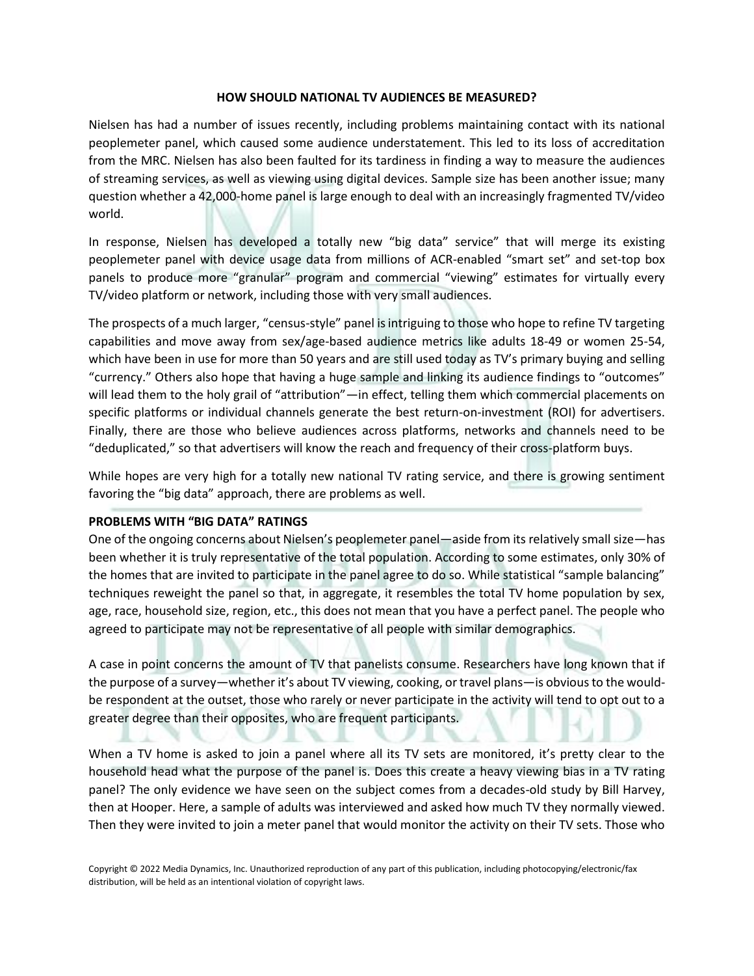#### **HOW SHOULD NATIONAL TV AUDIENCES BE MEASURED?**

Nielsen has had a number of issues recently, including problems maintaining contact with its national peoplemeter panel, which caused some audience understatement. This led to its loss of accreditation from the MRC. Nielsen has also been faulted for its tardiness in finding a way to measure the audiences of streaming services, as well as viewing using digital devices. Sample size has been another issue; many question whether a 42,000-home panel is large enough to deal with an increasingly fragmented TV/video world.

In response, Nielsen has developed a totally new "big data" service" that will merge its existing peoplemeter panel with device usage data from millions of ACR-enabled "smart set" and set-top box panels to produce more "granular" program and commercial "viewing" estimates for virtually every TV/video platform or network, including those with very small audiences.

The prospects of a much larger, "census-style" panel is intriguing to those who hope to refine TV targeting capabilities and move away from sex/age-based audience metrics like adults 18-49 or women 25-54, which have been in use for more than 50 years and are still used today as TV's primary buying and selling "currency." Others also hope that having a huge sample and linking its audience findings to "outcomes" will lead them to the holy grail of "attribution"—in effect, telling them which commercial placements on specific platforms or individual channels generate the best return-on-investment (ROI) for advertisers. Finally, there are those who believe audiences across platforms, networks and channels need to be "deduplicated," so that advertisers will know the reach and frequency of their cross-platform buys.

While hopes are very high for a totally new national TV rating service, and there is growing sentiment favoring the "big data" approach, there are problems as well.

# **PROBLEMS WITH "BIG DATA" RATINGS**

One of the ongoing concerns about Nielsen's peoplemeter panel—aside from its relatively small size—has been whether it is truly representative of the total population. According to some estimates, only 30% of the homes that are invited to participate in the panel agree to do so. While statistical "sample balancing" techniques reweight the panel so that, in aggregate, it resembles the total TV home population by sex, age, race, household size, region, etc., this does not mean that you have a perfect panel. The people who agreed to participate may not be representative of all people with similar demographics.

A case in point concerns the amount of TV that panelists consume. Researchers have long known that if the purpose of a survey—whether it's about TV viewing, cooking, or travel plans—is obvious to the wouldbe respondent at the outset, those who rarely or never participate in the activity will tend to opt out to a greater degree than their opposites, who are frequent participants.

When a TV home is asked to join a panel where all its TV sets are monitored, it's pretty clear to the household head what the purpose of the panel is. Does this create a heavy viewing bias in a TV rating panel? The only evidence we have seen on the subject comes from a decades-old study by Bill Harvey, then at Hooper. Here, a sample of adults was interviewed and asked how much TV they normally viewed. Then they were invited to join a meter panel that would monitor the activity on their TV sets. Those who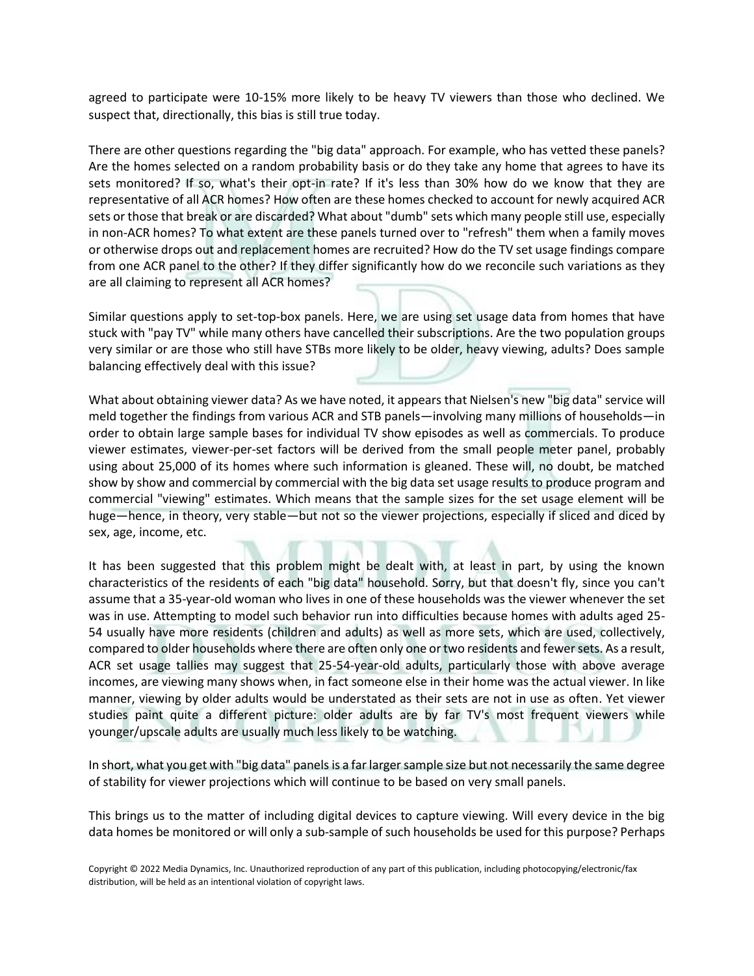agreed to participate were 10-15% more likely to be heavy TV viewers than those who declined. We suspect that, directionally, this bias is still true today.

There are other questions regarding the "big data" approach. For example, who has vetted these panels? Are the homes selected on a random probability basis or do they take any home that agrees to have its sets monitored? If so, what's their opt-in rate? If it's less than 30% how do we know that they are representative of all ACR homes? How often are these homes checked to account for newly acquired ACR sets or those that break or are discarded? What about "dumb" sets which many people still use, especially in non-ACR homes? To what extent are these panels turned over to "refresh" them when a family moves or otherwise drops out and replacement homes are recruited? How do the TV set usage findings compare from one ACR panel to the other? If they differ significantly how do we reconcile such variations as they are all claiming to represent all ACR homes?

Similar questions apply to set-top-box panels. Here, we are using set usage data from homes that have stuck with "pay TV" while many others have cancelled their subscriptions. Are the two population groups very similar or are those who still have STBs more likely to be older, heavy viewing, adults? Does sample balancing effectively deal with this issue?

What about obtaining viewer data? As we have noted, it appears that Nielsen's new "big data" service will meld together the findings from various ACR and STB panels—involving many millions of households—in order to obtain large sample bases for individual TV show episodes as well as commercials. To produce viewer estimates, viewer-per-set factors will be derived from the small people meter panel, probably using about 25,000 of its homes where such information is gleaned. These will, no doubt, be matched show by show and commercial by commercial with the big data set usage results to produce program and commercial "viewing" estimates. Which means that the sample sizes for the set usage element will be huge—hence, in theory, very stable—but not so the viewer projections, especially if sliced and diced by sex, age, income, etc.

It has been suggested that this problem might be dealt with, at least in part, by using the known characteristics of the residents of each "big data" household. Sorry, but that doesn't fly, since you can't assume that a 35-year-old woman who lives in one of these households was the viewer whenever the set was in use. Attempting to model such behavior run into difficulties because homes with adults aged 25- 54 usually have more residents (children and adults) as well as more sets, which are used, collectively, compared to older households where there are often only one or two residents and fewer sets. As a result, ACR set usage tallies may suggest that 25-54-year-old adults, particularly those with above average incomes, are viewing many shows when, in fact someone else in their home was the actual viewer. In like manner, viewing by older adults would be understated as their sets are not in use as often. Yet viewer studies paint quite a different picture: older adults are by far TV's most frequent viewers while younger/upscale adults are usually much less likely to be watching.

In short, what you get with "big data" panels is a far larger sample size but not necessarily the same degree of stability for viewer projections which will continue to be based on very small panels.

This brings us to the matter of including digital devices to capture viewing. Will every device in the big data homes be monitored or will only a sub-sample of such households be used for this purpose? Perhaps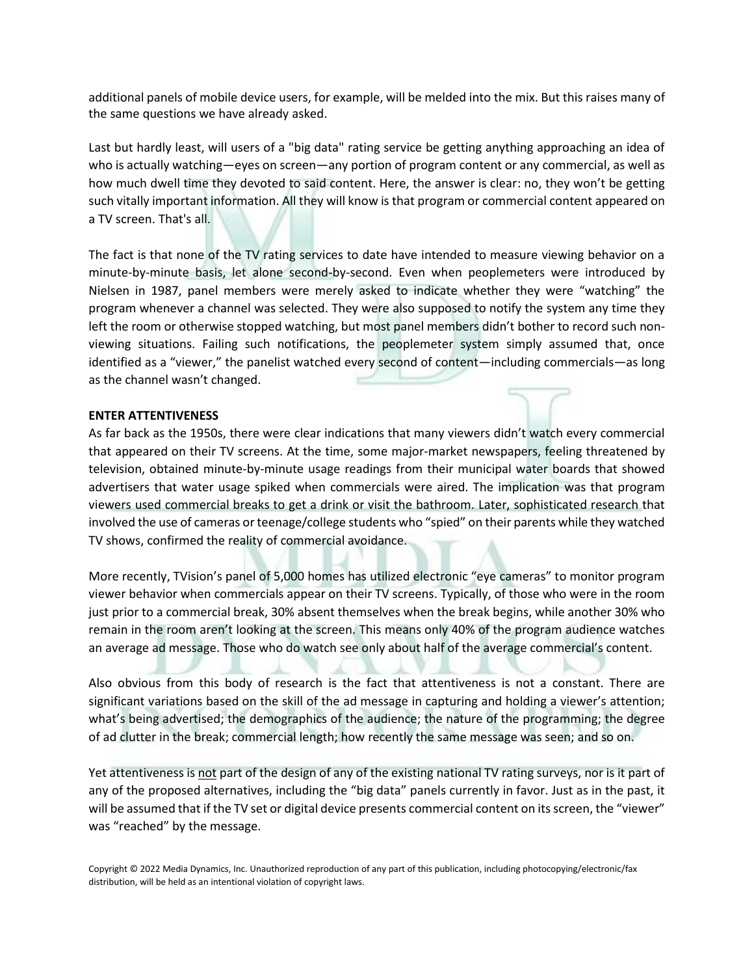additional panels of mobile device users, for example, will be melded into the mix. But this raises many of the same questions we have already asked.

Last but hardly least, will users of a "big data" rating service be getting anything approaching an idea of who is actually watching—eyes on screen—any portion of program content or any commercial, as well as how much dwell time they devoted to said content. Here, the answer is clear: no, they won't be getting such vitally important information. All they will know is that program or commercial content appeared on a TV screen. That's all.

The fact is that none of the TV rating services to date have intended to measure viewing behavior on a minute-by-minute basis, let alone second-by-second. Even when peoplemeters were introduced by Nielsen in 1987, panel members were merely asked to indicate whether they were "watching" the program whenever a channel was selected. They were also supposed to notify the system any time they left the room or otherwise stopped watching, but most panel members didn't bother to record such nonviewing situations. Failing such notifications, the peoplemeter system simply assumed that, once identified as a "viewer," the panelist watched every second of content—including commercials—as long as the channel wasn't changed.

# **ENTER ATTENTIVENESS**

As far back as the 1950s, there were clear indications that many viewers didn't watch every commercial that appeared on their TV screens. At the time, some major-market newspapers, feeling threatened by television, obtained minute-by-minute usage readings from their municipal water boards that showed advertisers that water usage spiked when commercials were aired. The implication was that program viewers used commercial breaks to get a drink or visit the bathroom. Later, sophisticated research that involved the use of cameras or teenage/college students who "spied" on their parents while they watched TV shows, confirmed the reality of commercial avoidance.

More recently, TVision's panel of 5,000 homes has utilized electronic "eye cameras" to monitor program viewer behavior when commercials appear on their TV screens. Typically, of those who were in the room just prior to a commercial break, 30% absent themselves when the break begins, while another 30% who remain in the room aren't looking at the screen. This means only 40% of the program audience watches an average ad message. Those who do watch see only about half of the average commercial's content.

Also obvious from this body of research is the fact that attentiveness is not a constant. There are significant variations based on the skill of the ad message in capturing and holding a viewer's attention; what's being advertised; the demographics of the audience; the nature of the programming; the degree of ad clutter in the break; commercial length; how recently the same message was seen; and so on.

Yet attentiveness is not part of the design of any of the existing national TV rating surveys, nor is it part of any of the proposed alternatives, including the "big data" panels currently in favor. Just as in the past, it will be assumed that if the TV set or digital device presents commercial content on its screen, the "viewer" was "reached" by the message.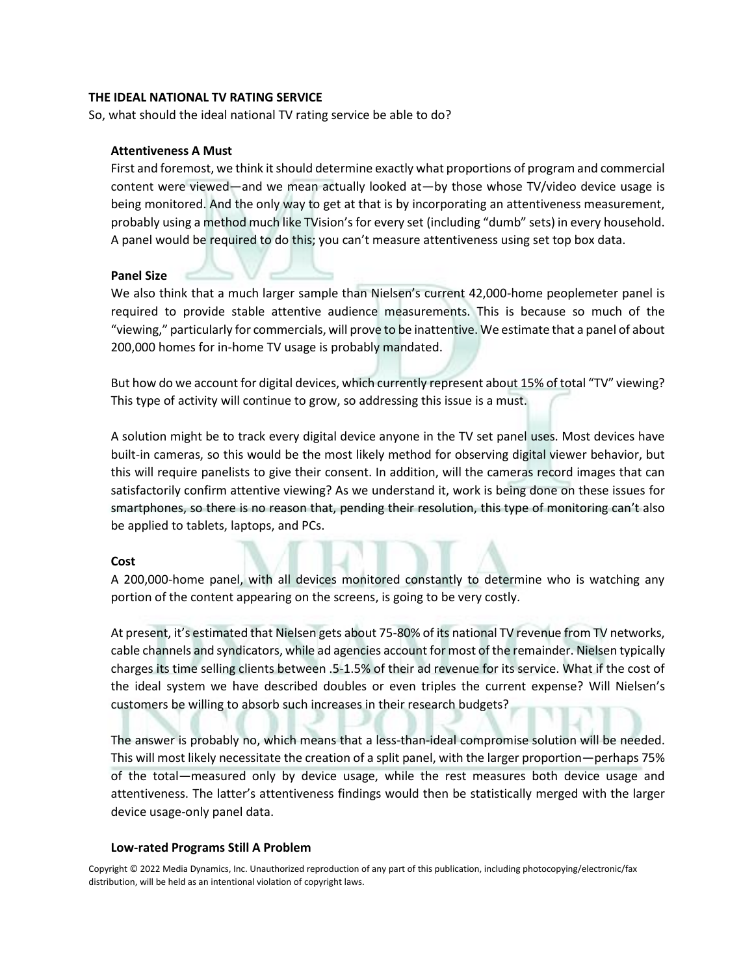#### **THE IDEAL NATIONAL TV RATING SERVICE**

So, what should the ideal national TV rating service be able to do?

# **Attentiveness A Must**

First and foremost, we think it should determine exactly what proportions of program and commercial content were viewed—and we mean actually looked at—by those whose TV/video device usage is being monitored. And the only way to get at that is by incorporating an attentiveness measurement, probably using a method much like TVision's for every set (including "dumb" sets) in every household. A panel would be required to do this; you can't measure attentiveness using set top box data.

# **Panel Size**

We also think that a much larger sample than Nielsen's current 42,000-home peoplemeter panel is required to provide stable attentive audience measurements. This is because so much of the "viewing," particularly for commercials, will prove to be inattentive. We estimate that a panel of about 200,000 homes for in-home TV usage is probably mandated.

But how do we account for digital devices, which currently represent about 15% of total "TV" viewing? This type of activity will continue to grow, so addressing this issue is a must.

A solution might be to track every digital device anyone in the TV set panel uses. Most devices have built-in cameras, so this would be the most likely method for observing digital viewer behavior, but this will require panelists to give their consent. In addition, will the cameras record images that can satisfactorily confirm attentive viewing? As we understand it, work is being done on these issues for smartphones, so there is no reason that, pending their resolution, this type of monitoring can't also be applied to tablets, laptops, and PCs.

# **Cost**

A 200,000-home panel, with all devices monitored constantly to determine who is watching any portion of the content appearing on the screens, is going to be very costly.

At present, it's estimated that Nielsen gets about 75-80% of its national TV revenue from TV networks, cable channels and syndicators, while ad agencies account for most of the remainder. Nielsen typically charges its time selling clients between .5-1.5% of their ad revenue for its service. What if the cost of the ideal system we have described doubles or even triples the current expense? Will Nielsen's customers be willing to absorb such increases in their research budgets?

The answer is probably no, which means that a less-than-ideal compromise solution will be needed. This will most likely necessitate the creation of a split panel, with the larger proportion—perhaps 75% of the total—measured only by device usage, while the rest measures both device usage and attentiveness. The latter's attentiveness findings would then be statistically merged with the larger device usage-only panel data.

#### **Low-rated Programs Still A Problem**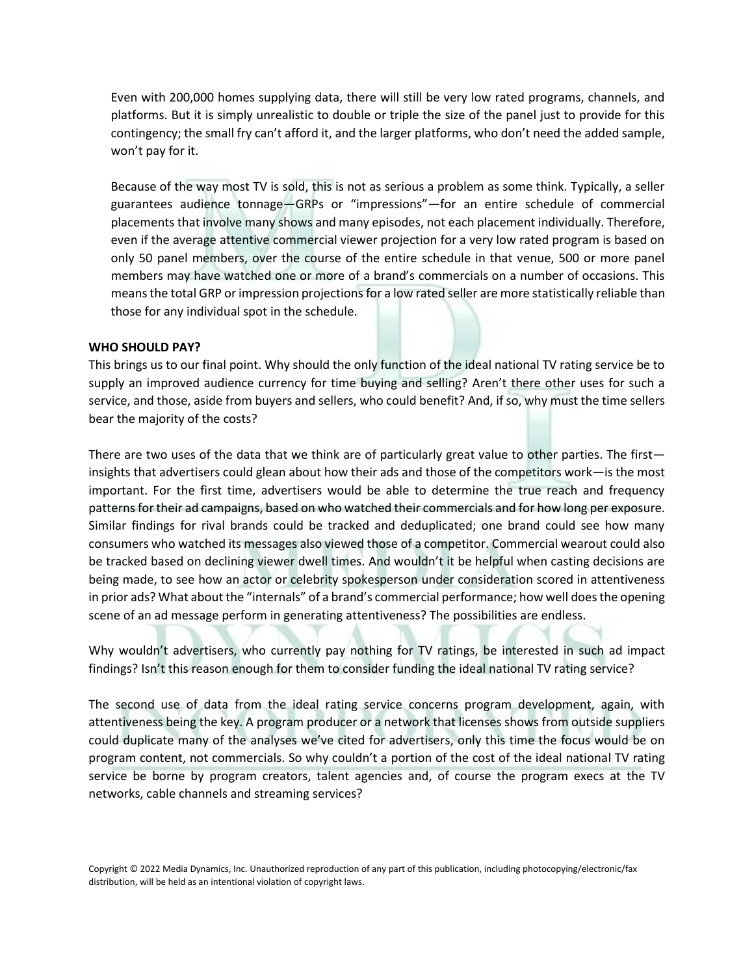Even with 200,000 homes supplying data, there will still be very low rated programs, channels, and platforms. But it is simply unrealistic to double or triple the size of the panel just to provide for this contingency; the small fry can't afford it, and the larger platforms, who don't need the added sample, won't pay for it.

Because of the way most TV is sold, this is not as serious a problem as some think. Typically, a seller guarantees audience tonnage—GRPs or "impressions"—for an entire schedule of commercial placements that involve many shows and many episodes, not each placement individually. Therefore, even if the average attentive commercial viewer projection for a very low rated program is based on only 50 panel members, over the course of the entire schedule in that venue, 500 or more panel members may have watched one or more of a brand's commercials on a number of occasions. This means the total GRP or impression projections for a low rated seller are more statistically reliable than those for any individual spot in the schedule.

# **WHO SHOULD PAY?**

This brings us to our final point. Why should the only function of the ideal national TV rating service be to supply an improved audience currency for time buying and selling? Aren't there other uses for such a service, and those, aside from buyers and sellers, who could benefit? And, if so, why must the time sellers bear the majority of the costs?

There are two uses of the data that we think are of particularly great value to other parties. The first insights that advertisers could glean about how their ads and those of the competitors work—is the most important. For the first time, advertisers would be able to determine the true reach and frequency patterns for their ad campaigns, based on who watched their commercials and for how long per exposure. Similar findings for rival brands could be tracked and deduplicated; one brand could see how many consumers who watched its messages also viewed those of a competitor. Commercial wearout could also be tracked based on declining viewer dwell times. And wouldn't it be helpful when casting decisions are being made, to see how an actor or celebrity spokesperson under consideration scored in attentiveness in prior ads? What about the "internals" of a brand's commercial performance; how well does the opening scene of an ad message perform in generating attentiveness? The possibilities are endless.

Why wouldn't advertisers, who currently pay nothing for TV ratings, be interested in such ad impact findings? Isn't this reason enough for them to consider funding the ideal national TV rating service?

The second use of data from the ideal rating service concerns program development, again, with attentiveness being the key. A program producer or a network that licenses shows from outside suppliers could duplicate many of the analyses we've cited for advertisers, only this time the focus would be on program content, not commercials. So why couldn't a portion of the cost of the ideal national TV rating service be borne by program creators, talent agencies and, of course the program execs at the TV networks, cable channels and streaming services?